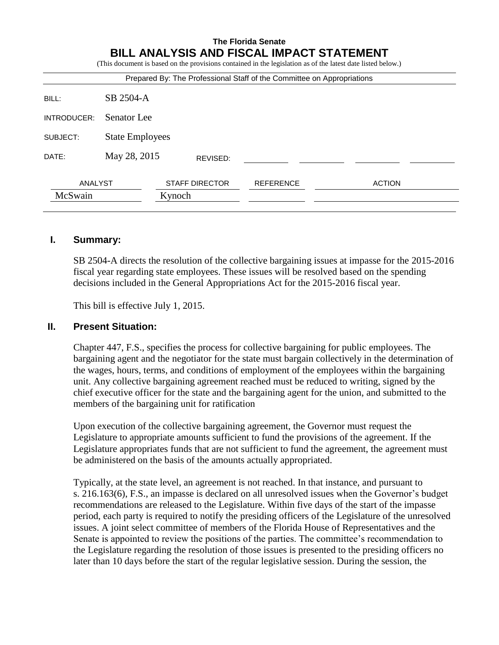#### **The Florida Senate BILL ANALYSIS AND FISCAL IMPACT STATEMENT**

(This document is based on the provisions contained in the legislation as of the latest date listed below.)

| SB 2504-A   |                       |                                                  |               |                                                                        |
|-------------|-----------------------|--------------------------------------------------|---------------|------------------------------------------------------------------------|
| Senator Lee |                       |                                                  |               |                                                                        |
|             |                       |                                                  |               |                                                                        |
|             | REVISED:              |                                                  |               |                                                                        |
| ANALYST     | <b>STAFF DIRECTOR</b> | <b>REFERENCE</b>                                 | <b>ACTION</b> |                                                                        |
|             |                       |                                                  |               |                                                                        |
|             |                       | <b>State Employees</b><br>May 28, 2015<br>Kynoch |               | Prepared By: The Professional Staff of the Committee on Appropriations |

#### **I. Summary:**

SB 2504-A directs the resolution of the collective bargaining issues at impasse for the 2015-2016 fiscal year regarding state employees. These issues will be resolved based on the spending decisions included in the General Appropriations Act for the 2015-2016 fiscal year.

This bill is effective July 1, 2015.

#### **II. Present Situation:**

Chapter 447, F.S., specifies the process for collective bargaining for public employees. The bargaining agent and the negotiator for the state must bargain collectively in the determination of the wages, hours, terms, and conditions of employment of the employees within the bargaining unit. Any collective bargaining agreement reached must be reduced to writing, signed by the chief executive officer for the state and the bargaining agent for the union, and submitted to the members of the bargaining unit for ratification

Upon execution of the collective bargaining agreement, the Governor must request the Legislature to appropriate amounts sufficient to fund the provisions of the agreement. If the Legislature appropriates funds that are not sufficient to fund the agreement, the agreement must be administered on the basis of the amounts actually appropriated.

Typically, at the state level, an agreement is not reached. In that instance, and pursuant to s. 216.163(6), F.S., an impasse is declared on all unresolved issues when the Governor's budget recommendations are released to the Legislature. Within five days of the start of the impasse period, each party is required to notify the presiding officers of the Legislature of the unresolved issues. A joint select committee of members of the Florida House of Representatives and the Senate is appointed to review the positions of the parties. The committee's recommendation to the Legislature regarding the resolution of those issues is presented to the presiding officers no later than 10 days before the start of the regular legislative session. During the session, the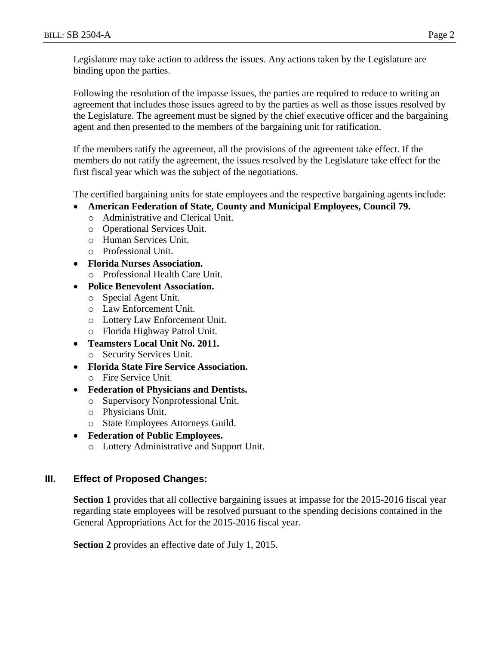Following the resolution of the impasse issues, the parties are required to reduce to writing an agreement that includes those issues agreed to by the parties as well as those issues resolved by the Legislature. The agreement must be signed by the chief executive officer and the bargaining agent and then presented to the members of the bargaining unit for ratification.

If the members ratify the agreement, all the provisions of the agreement take effect. If the members do not ratify the agreement, the issues resolved by the Legislature take effect for the first fiscal year which was the subject of the negotiations.

The certified bargaining units for state employees and the respective bargaining agents include:

- **American Federation of State, County and Municipal Employees, Council 79.** 
	- o Administrative and Clerical Unit.
	- o Operational Services Unit.
	- o Human Services Unit.
	- o Professional Unit.
- **Florida Nurses Association.**
	- o Professional Health Care Unit.
- **Police Benevolent Association.**
	- o Special Agent Unit.
	- o Law Enforcement Unit.
	- o Lottery Law Enforcement Unit.
	- o Florida Highway Patrol Unit.
- **Teamsters Local Unit No. 2011.**
	- o Security Services Unit.
- **Florida State Fire Service Association.** o Fire Service Unit.
- **Federation of Physicians and Dentists.**
	- o Supervisory Nonprofessional Unit.
	- o Physicians Unit.
	- o State Employees Attorneys Guild.
- **Federation of Public Employees.**
	- o Lottery Administrative and Support Unit.

#### **III. Effect of Proposed Changes:**

**Section 1** provides that all collective bargaining issues at impasse for the 2015-2016 fiscal year regarding state employees will be resolved pursuant to the spending decisions contained in the General Appropriations Act for the 2015-2016 fiscal year.

**Section 2** provides an effective date of July 1, 2015.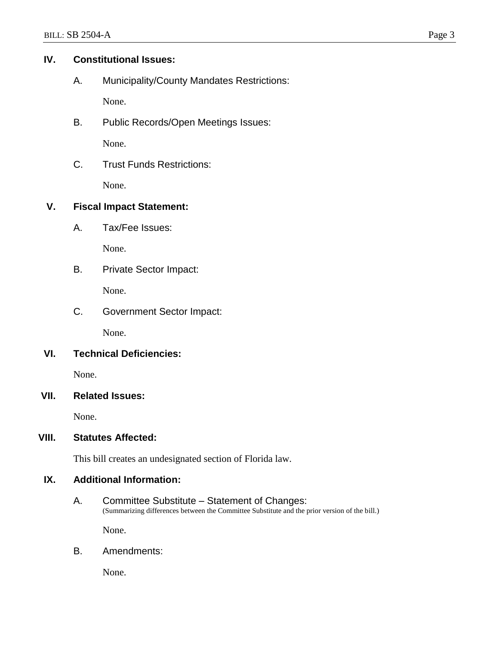## **IV. Constitutional Issues:**

A. Municipality/County Mandates Restrictions:

None.

B. Public Records/Open Meetings Issues:

None.

C. Trust Funds Restrictions:

None.

## **V. Fiscal Impact Statement:**

A. Tax/Fee Issues:

None.

B. Private Sector Impact:

None.

C. Government Sector Impact:

None.

# **VI. Technical Deficiencies:**

None.

## **VII. Related Issues:**

None.

## **VIII. Statutes Affected:**

This bill creates an undesignated section of Florida law.

## **IX. Additional Information:**

A. Committee Substitute – Statement of Changes: (Summarizing differences between the Committee Substitute and the prior version of the bill.)

None.

B. Amendments:

None.